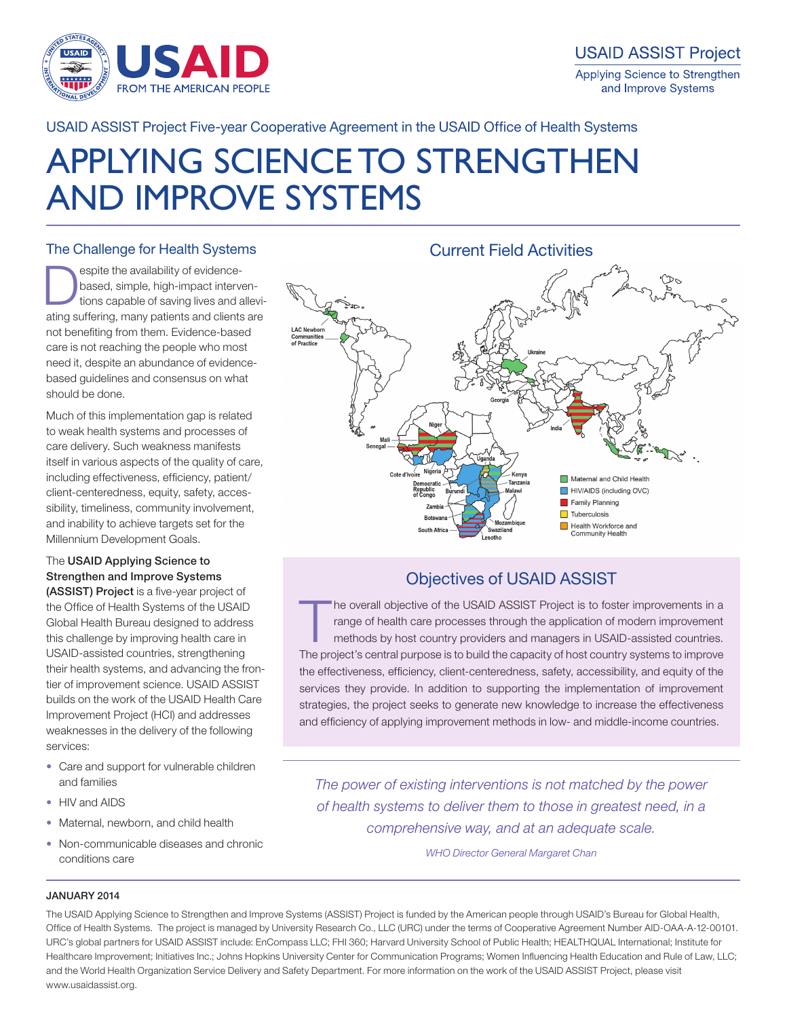

USAID ASSIST Project Five-year Cooperative Agreement in the USAID Office of Health Systems

# APPLYING SCIENCE TO STRENGTHEN AND IMPROVE SYSTEMS

# The Challenge for Health Systems

espite the availability of evidencebased, simple, high-impact interventions capable of saving lives and alleviating suffering, many patients and clients are not benefiting from them. Evidence-based care is not reaching the people who most need it, despite an abundance of evidencebased guidelines and consensus on what should be done.

Much of this implementation gap is related to weak health systems and processes of care delivery. Such weakness manifests itself in various aspects of the quality of care, including effectiveness, efficiency, patient/ client-centeredness, equity, safety, accessibility, timeliness, community involvement, and inability to achieve targets set for the Millennium Development Goals.

# The USAID Applying Science to Strengthen and Improve Systems

(ASSIST) Project is a five-year project of the Office of Health Systems of the USAID Global Health Bureau designed to address this challenge by improving health care in USAID-assisted countries, strengthening their health systems, and advancing the frontier of improvement science. USAID ASSIST builds on the work of the USAID Health Care Improvement Project (HCI) and addresses weaknesses in the delivery of the following services:

- Care and support for vulnerable children and families
- HIV and AIDS
- Maternal, newborn, and child health
- Non-communicable diseases and chronic conditions care



# Objectives of USAID ASSIST

The overall objective of the USAID ASSIST Project is to foster improvements in a range of health care processes through the application of modern improvement methods by host country providers and managers in USAID-assisted range of health care processes through the application of modern improvement methods by host country providers and managers in USAID-assisted countries. The project's central purpose is to build the capacity of host country systems to improve the effectiveness, efficiency, client-centeredness, safety, accessibility, and equity of the services they provide. In addition to supporting the implementation of improvement strategies, the project seeks to generate new knowledge to increase the effectiveness and efficiency of applying improvement methods in low- and middle-income countries.

*The power of existing interventions is not matched by the power of health systems to deliver them to those in greatest need, in a comprehensive way, and at an adequate scale.*

*WHO Director General Margaret Chan*

## JANUARY 2014

The USAID Applying Science to Strengthen and Improve Systems (ASSIST) Project is funded by the American people through USAID's Bureau for Global Health, Office of Health Systems. The project is managed by University Research Co., LLC (URC) under the terms of Cooperative Agreement Number AID-OAA-A-12-00101. URC's global partners for USAID ASSIST include: EnCompass LLC; FHI 360; Harvard University School of Public Health; HEALTHQUAL International; Institute for Healthcare Improvement; Initiatives Inc.; Johns Hopkins University Center for Communication Programs; Women Influencing Health Education and Rule of Law, LLC; and the World Health Organization Service Delivery and Safety Department. For more information on the work of the USAID ASSIST Project, please visit www.usaidassist.org.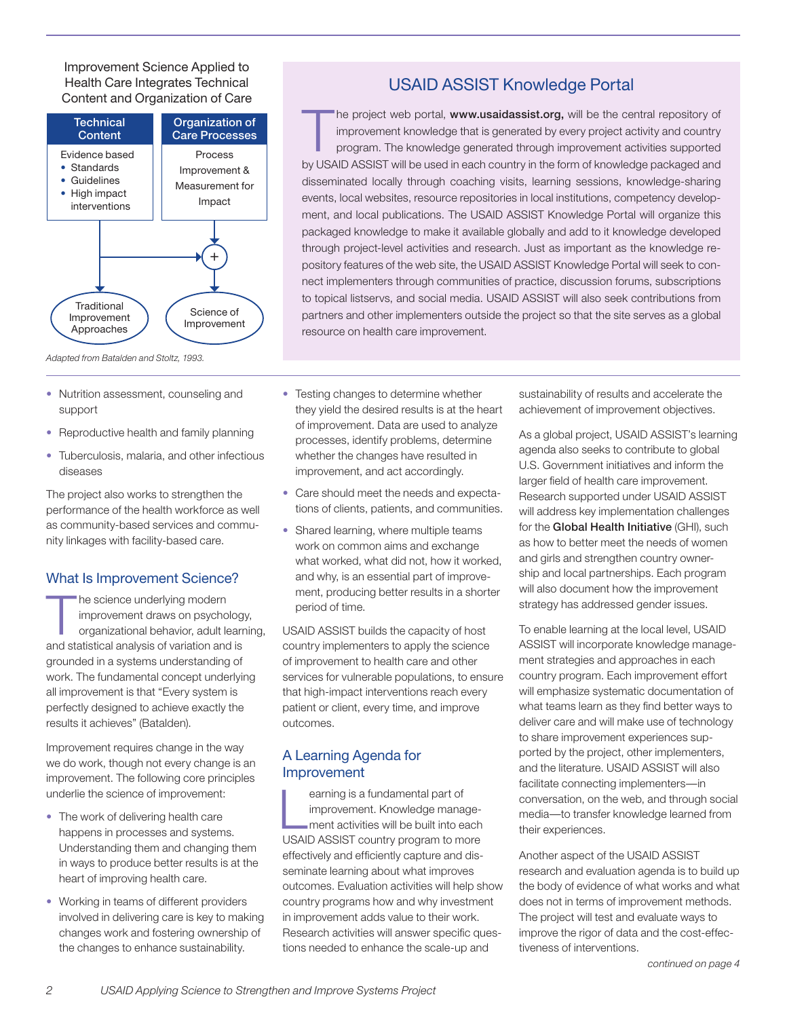Improvement Science Applied to Health Care Integrates Technical Content and Organization of Care



USAID ASSIST Knowledge Portal

The project web portal, www.usaidassist.org, will be the central repository of<br>improvement knowledge that is generated by every project activity and country<br>program. The knowledge generated through improvement activities s improvement knowledge that is generated by every project activity and country program. The knowledge generated through improvement activities supported by USAID ASSIST will be used in each country in the form of knowledge packaged and disseminated locally through coaching visits, learning sessions, knowledge-sharing events, local websites, resource repositories in local institutions, competency development, and local publications. The USAID ASSIST Knowledge Portal will organize this packaged knowledge to make it available globally and add to it knowledge developed through project-level activities and research. Just as important as the knowledge repository features of the web site, the USAID ASSIST Knowledge Portal will seek to connect implementers through communities of practice, discussion forums, subscriptions to topical listservs, and social media. USAID ASSIST will also seek contributions from partners and other implementers outside the project so that the site serves as a global resource on health care improvement.

- Nutrition assessment, counseling and support
- Reproductive health and family planning
- Tuberculosis, malaria, and other infectious diseases

The project also works to strengthen the performance of the health workforce as well as community-based services and community linkages with facility-based care.

# What Is Improvement Science?

The science underlying modern<br>improvement draws on psycho<br>organizational behavior, adult le improvement draws on psychology, organizational behavior, adult learning, and statistical analysis of variation and is grounded in a systems understanding of work. The fundamental concept underlying all improvement is that "Every system is perfectly designed to achieve exactly the results it achieves" (Batalden).

Improvement requires change in the way we do work, though not every change is an improvement. The following core principles underlie the science of improvement:

- The work of delivering health care happens in processes and systems. Understanding them and changing them in ways to produce better results is at the heart of improving health care.
- Working in teams of different providers involved in delivering care is key to making changes work and fostering ownership of the changes to enhance sustainability.
- Testing changes to determine whether they yield the desired results is at the heart of improvement. Data are used to analyze processes, identify problems, determine whether the changes have resulted in improvement, and act accordingly.
- Care should meet the needs and expectations of clients, patients, and communities.
- Shared learning, where multiple teams work on common aims and exchange what worked, what did not, how it worked, and why, is an essential part of improvement, producing better results in a shorter period of time.

USAID ASSIST builds the capacity of host country implementers to apply the science of improvement to health care and other services for vulnerable populations, to ensure that high-impact interventions reach every patient or client, every time, and improve outcomes.

# A Learning Agenda for Improvement

 $\boxed{\phantom{\phantom{\mathcal{L}}}}$ earning is a fundamental part of improvement. Knowledge management activities will be built into each USAID ASSIST country program to more effectively and efficiently capture and disseminate learning about what improves outcomes. Evaluation activities will help show country programs how and why investment in improvement adds value to their work. Research activities will answer specific questions needed to enhance the scale-up and

sustainability of results and accelerate the achievement of improvement objectives.

As a global project, USAID ASSIST's learning agenda also seeks to contribute to global U.S. Government initiatives and inform the larger field of health care improvement. Research supported under USAID ASSIST will address key implementation challenges for the Global Health Initiative (GHI), such as how to better meet the needs of women and girls and strengthen country ownership and local partnerships. Each program will also document how the improvement strategy has addressed gender issues.

To enable learning at the local level, USAID ASSIST will incorporate knowledge management strategies and approaches in each country program. Each improvement effort will emphasize systematic documentation of what teams learn as they find better ways to deliver care and will make use of technology to share improvement experiences supported by the project, other implementers, and the literature. USAID ASSIST will also facilitate connecting implementers—in conversation, on the web, and through social media—to transfer knowledge learned from their experiences.

Another aspect of the USAID ASSIST research and evaluation agenda is to build up the body of evidence of what works and what does not in terms of improvement methods. The project will test and evaluate ways to improve the rigor of data and the cost-effectiveness of interventions.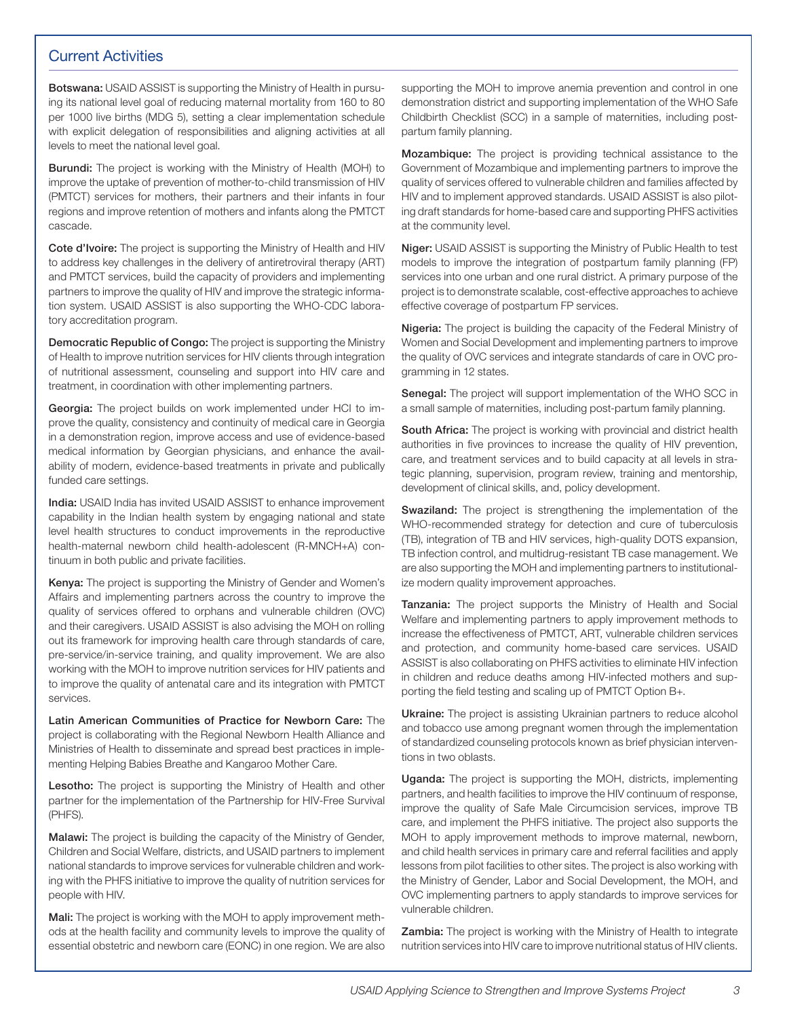# Current Activities

Botswana: USAID ASSIST is supporting the Ministry of Health in pursuing its national level goal of reducing maternal mortality from 160 to 80 per 1000 live births (MDG 5), setting a clear implementation schedule with explicit delegation of responsibilities and aligning activities at all levels to meet the national level goal.

Burundi: The project is working with the Ministry of Health (MOH) to improve the uptake of prevention of mother-to-child transmission of HIV (PMTCT) services for mothers, their partners and their infants in four regions and improve retention of mothers and infants along the PMTCT cascade.

Cote d'Ivoire: The project is supporting the Ministry of Health and HIV to address key challenges in the delivery of antiretroviral therapy (ART) and PMTCT services, build the capacity of providers and implementing partners to improve the quality of HIV and improve the strategic information system. USAID ASSIST is also supporting the WHO-CDC laboratory accreditation program.

Democratic Republic of Congo: The project is supporting the Ministry of Health to improve nutrition services for HIV clients through integration of nutritional assessment, counseling and support into HIV care and treatment, in coordination with other implementing partners.

Georgia: The project builds on work implemented under HCI to improve the quality, consistency and continuity of medical care in Georgia in a demonstration region, improve access and use of evidence-based medical information by Georgian physicians, and enhance the availability of modern, evidence-based treatments in private and publically funded care settings.

India: USAID India has invited USAID ASSIST to enhance improvement capability in the Indian health system by engaging national and state level health structures to conduct improvements in the reproductive health-maternal newborn child health-adolescent (R-MNCH+A) continuum in both public and private facilities.

Kenya: The project is supporting the Ministry of Gender and Women's Affairs and implementing partners across the country to improve the quality of services offered to orphans and vulnerable children (OVC) and their caregivers. USAID ASSIST is also advising the MOH on rolling out its framework for improving health care through standards of care, pre-service/in-service training, and quality improvement. We are also working with the MOH to improve nutrition services for HIV patients and to improve the quality of antenatal care and its integration with PMTCT services.

Latin American Communities of Practice for Newborn Care: The project is collaborating with the Regional Newborn Health Alliance and Ministries of Health to disseminate and spread best practices in implementing Helping Babies Breathe and Kangaroo Mother Care.

Lesotho: The project is supporting the Ministry of Health and other partner for the implementation of the Partnership for HIV-Free Survival (PHFS).

Malawi: The project is building the capacity of the Ministry of Gender, Children and Social Welfare, districts, and USAID partners to implement national standards to improve services for vulnerable children and working with the PHFS initiative to improve the quality of nutrition services for people with HIV.

Mali: The project is working with the MOH to apply improvement methods at the health facility and community levels to improve the quality of essential obstetric and newborn care (EONC) in one region. We are also

supporting the MOH to improve anemia prevention and control in one demonstration district and supporting implementation of the WHO Safe Childbirth Checklist (SCC) in a sample of maternities, including postpartum family planning.

Mozambique: The project is providing technical assistance to the Government of Mozambique and implementing partners to improve the quality of services offered to vulnerable children and families affected by HIV and to implement approved standards. USAID ASSIST is also piloting draft standards for home-based care and supporting PHFS activities at the community level.

Niger: USAID ASSIST is supporting the Ministry of Public Health to test models to improve the integration of postpartum family planning (FP) services into one urban and one rural district. A primary purpose of the project is to demonstrate scalable, cost-effective approaches to achieve effective coverage of postpartum FP services.

Nigeria: The project is building the capacity of the Federal Ministry of Women and Social Development and implementing partners to improve the quality of OVC services and integrate standards of care in OVC programming in 12 states.

Senegal: The project will support implementation of the WHO SCC in a small sample of maternities, including post-partum family planning.

South Africa: The project is working with provincial and district health authorities in five provinces to increase the quality of HIV prevention, care, and treatment services and to build capacity at all levels in strategic planning, supervision, program review, training and mentorship, development of clinical skills, and, policy development.

Swaziland: The project is strengthening the implementation of the WHO-recommended strategy for detection and cure of tuberculosis (TB), integration of TB and HIV services, high-quality DOTS expansion, TB infection control, and multidrug-resistant TB case management. We are also supporting the MOH and implementing partners to institutionalize modern quality improvement approaches.

Tanzania: The project supports the Ministry of Health and Social Welfare and implementing partners to apply improvement methods to increase the effectiveness of PMTCT, ART, vulnerable children services and protection, and community home-based care services. USAID ASSIST is also collaborating on PHFS activities to eliminate HIV infection in children and reduce deaths among HIV-infected mothers and supporting the field testing and scaling up of PMTCT Option B+.

Ukraine: The project is assisting Ukrainian partners to reduce alcohol and tobacco use among pregnant women through the implementation of standardized counseling protocols known as brief physician interventions in two oblasts.

Uganda: The project is supporting the MOH, districts, implementing partners, and health facilities to improve the HIV continuum of response, improve the quality of Safe Male Circumcision services, improve TB care, and implement the PHFS initiative. The project also supports the MOH to apply improvement methods to improve maternal, newborn, and child health services in primary care and referral facilities and apply lessons from pilot facilities to other sites. The project is also working with the Ministry of Gender, Labor and Social Development, the MOH, and OVC implementing partners to apply standards to improve services for vulnerable children.

**Zambia:** The project is working with the Ministry of Health to integrate nutrition services into HIV care to improve nutritional status of HIV clients.